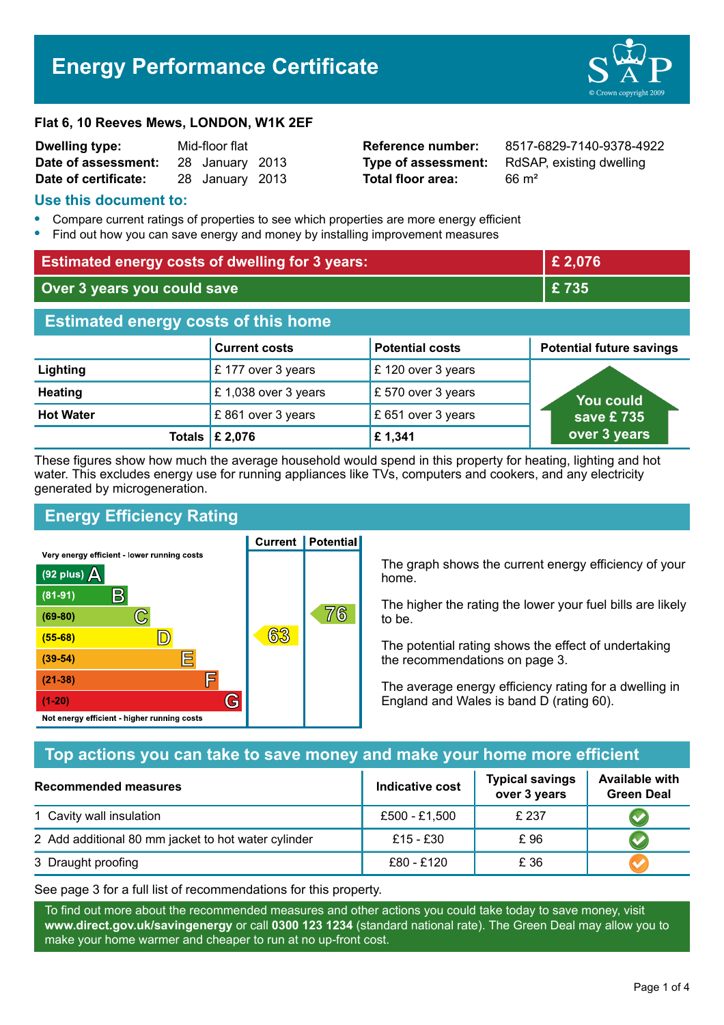# **Energy Performance Certificate**



| Dwelling type:       | Mid-floor flat |                 |  |
|----------------------|----------------|-----------------|--|
| Date of assessment:  |                | 28 January 2013 |  |
| Date of certificate: |                | 28 January 2013 |  |

# **Total floor area:** 66 m<sup>2</sup>

**Reference number:** 8517-6829-7140-9378-4922 **Type of assessment:** RdSAP, existing dwelling

#### **Use this document to:**

- **•** Compare current ratings of properties to see which properties are more energy efficient
- **•** Find out how you can save energy and money by installing improvement measures

| <b>Estimated energy costs of dwelling for 3 years:</b> |                      |                        | £ 2,076                         |  |
|--------------------------------------------------------|----------------------|------------------------|---------------------------------|--|
| Over 3 years you could save                            |                      | £735                   |                                 |  |
| <b>Estimated energy costs of this home</b>             |                      |                        |                                 |  |
|                                                        | <b>Current costs</b> | <b>Potential costs</b> | <b>Potential future savings</b> |  |
| Lighting                                               | £177 over 3 years    | £120 over 3 years      |                                 |  |
| <b>Heating</b>                                         | £1,038 over 3 years  | $E$ 570 over 3 years   | <b>You could</b><br>save £ 735  |  |
| <b>Hot Water</b>                                       | £861 over 3 years    | £ 651 over 3 years     |                                 |  |
| Totals                                                 | £ 2,076              | £1,341                 | over 3 years                    |  |

These figures show how much the average household would spend in this property for heating, lighting and hot water. This excludes energy use for running appliances like TVs, computers and cookers, and any electricity generated by microgeneration.

**Current | Potential** 

# **Energy Efficiency Rating**

Very energy efficient - lower running costs



The graph shows the current energy efficiency of your home.

The higher the rating the lower your fuel bills are likely to be.

The potential rating shows the effect of undertaking the recommendations on page 3.

The average energy efficiency rating for a dwelling in England and Wales is band D (rating 60).

# **Top actions you can take to save money and make your home more efficient**

| Recommended measures                                | Indicative cost | <b>Typical savings</b><br>over 3 years | <b>Available with</b><br><b>Green Deal</b> |
|-----------------------------------------------------|-----------------|----------------------------------------|--------------------------------------------|
| 1 Cavity wall insulation                            | £500 - £1,500   | £ 237                                  |                                            |
| 2 Add additional 80 mm jacket to hot water cylinder | £15 - £30       | £96                                    |                                            |
| 3 Draught proofing                                  | £80 - £120      | £ 36                                   |                                            |

See page 3 for a full list of recommendations for this property.

To find out more about the recommended measures and other actions you could take today to save money, visit **www.direct.gov.uk/savingenergy** or call **0300 123 1234** (standard national rate). The Green Deal may allow you to make your home warmer and cheaper to run at no up-front cost.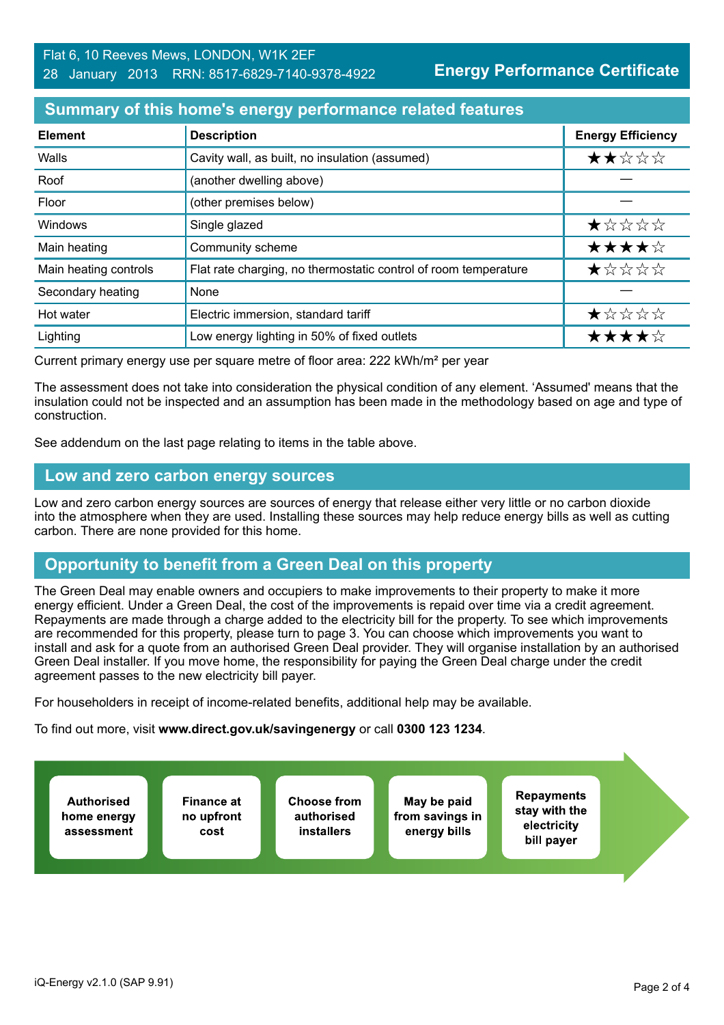**Energy Performance Certificate**

### **Summary of this home's energy performance related features**

| <b>Element</b>        | <b>Description</b>                                              | <b>Energy Efficiency</b> |
|-----------------------|-----------------------------------------------------------------|--------------------------|
| Walls                 | Cavity wall, as built, no insulation (assumed)                  | ★★☆☆☆                    |
| Roof                  | (another dwelling above)                                        |                          |
| Floor                 | (other premises below)                                          |                          |
| <b>Windows</b>        | Single glazed                                                   | ★☆☆☆☆                    |
| Main heating          | Community scheme                                                | ★★★★☆                    |
| Main heating controls | Flat rate charging, no thermostatic control of room temperature | *****                    |
| Secondary heating     | None                                                            |                          |
| Hot water             | Electric immersion, standard tariff                             | ★☆☆☆☆                    |
| Lighting              | Low energy lighting in 50% of fixed outlets                     | ★★★★☆                    |

Current primary energy use per square metre of floor area: 222 kWh/m² per year

The assessment does not take into consideration the physical condition of any element. 'Assumed' means that the insulation could not be inspected and an assumption has been made in the methodology based on age and type of construction.

See addendum on the last page relating to items in the table above.

#### **Low and zero carbon energy sources**

Low and zero carbon energy sources are sources of energy that release either very little or no carbon dioxide into the atmosphere when they are used. Installing these sources may help reduce energy bills as well as cutting carbon. There are none provided for this home.

# **Opportunity to benefit from a Green Deal on this property**

The Green Deal may enable owners and occupiers to make improvements to their property to make it more energy efficient. Under a Green Deal, the cost of the improvements is repaid over time via a credit agreement. Repayments are made through a charge added to the electricity bill for the property. To see which improvements are recommended for this property, please turn to page 3. You can choose which improvements you want to install and ask for a quote from an authorised Green Deal provider. They will organise installation by an authorised Green Deal installer. If you move home, the responsibility for paying the Green Deal charge under the credit agreement passes to the new electricity bill payer.

For householders in receipt of income-related benefits, additional help may be available.

To find out more, visit **www.direct.gov.uk/savingenergy** or call **0300 123 1234**.

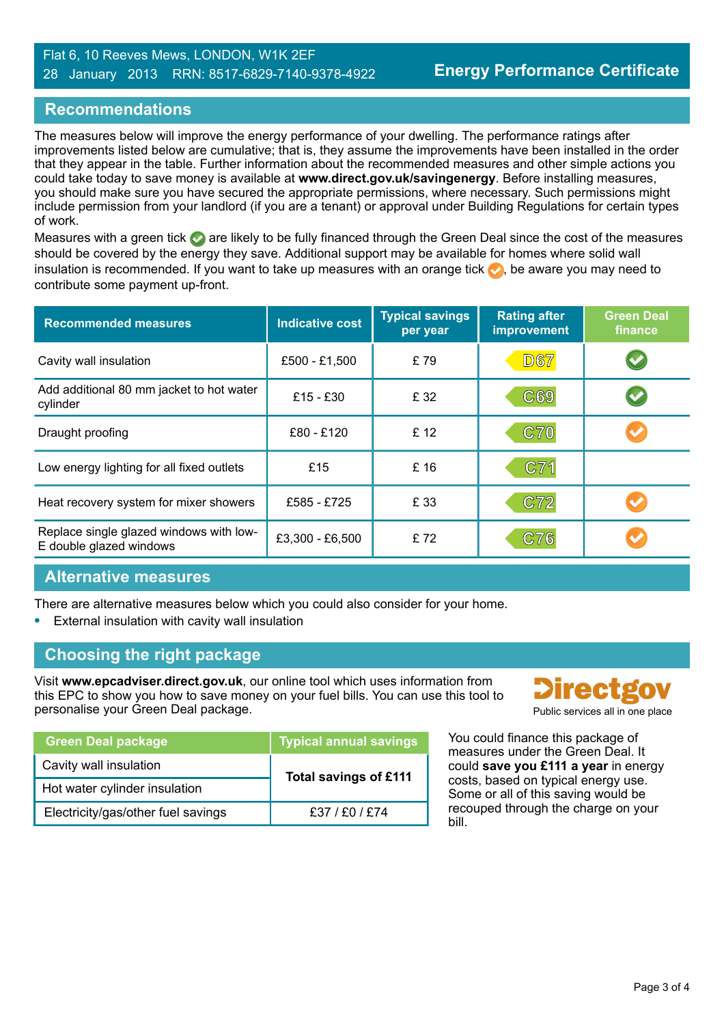#### Flat 6, 10 Reeves Mews, LONDON, W1K 2EF 28 January 2013 RRN: 8517-6829-7140-9378-4922

## **Recommendations**

The measures below will improve the energy performance of your dwelling. The performance ratings after improvements listed below are cumulative; that is, they assume the improvements have been installed in the order that they appear in the table. Further information about the recommended measures and other simple actions you could take today to save money is available at **www.direct.gov.uk/savingenergy**. Before installing measures, you should make sure you have secured the appropriate permissions, where necessary. Such permissions might include permission from your landlord (if you are a tenant) or approval under Building Regulations for certain types of work.

Measures with a green tick are likely to be fully financed through the Green Deal since the cost of the measures should be covered by the energy they save. Additional support may be available for homes where solid wall insulation is recommended. If you want to take up measures with an orange tick  $\bullet$ , be aware you may need to contribute some payment up-front.

| <b>Recommended measures</b>                                        | <b>Indicative cost</b> | <b>Typical savings</b><br>per year | <b>Rating after</b><br><b>improvement</b> | <b>Green Deal</b><br>finance |
|--------------------------------------------------------------------|------------------------|------------------------------------|-------------------------------------------|------------------------------|
| Cavity wall insulation                                             | £500 - £1,500          | £79                                | <b>D67</b>                                | $\blacktriangledown$         |
| Add additional 80 mm jacket to hot water<br>cylinder               | £15 - £30              | £ 32                               | C69                                       |                              |
| Draught proofing                                                   | £80 - £120             | £ 12                               | <b>C70</b>                                |                              |
| Low energy lighting for all fixed outlets                          | £15                    | £ 16                               | C71                                       |                              |
| Heat recovery system for mixer showers                             | £585 - £725            | £ 33                               | C72                                       |                              |
| Replace single glazed windows with low-<br>E double glazed windows | £3,300 - £6,500        | £72                                | C76                                       |                              |

#### **Alternative measures**

There are alternative measures below which you could also consider for your home.

**•** External insulation with cavity wall insulation

# **Choosing the right package**

Visit **www.epcadviser.direct.gov.uk**, our online tool which uses information from this EPC to show you how to save money on your fuel bills. You can use this tool to personalise your Green Deal package. The process of the public services all in one place

| <b>Green Deal package</b>          | <b>Typical annual savings</b> |  |
|------------------------------------|-------------------------------|--|
| Cavity wall insulation             | <b>Total savings of £111</b>  |  |
| Hot water cylinder insulation      |                               |  |
| Electricity/gas/other fuel savings | £37 / £0 / £74                |  |



You could finance this package of measures under the Green Deal. It could **save you £111 a year** in energy costs, based on typical energy use. Some or all of this saving would be recouped through the charge on your bill.